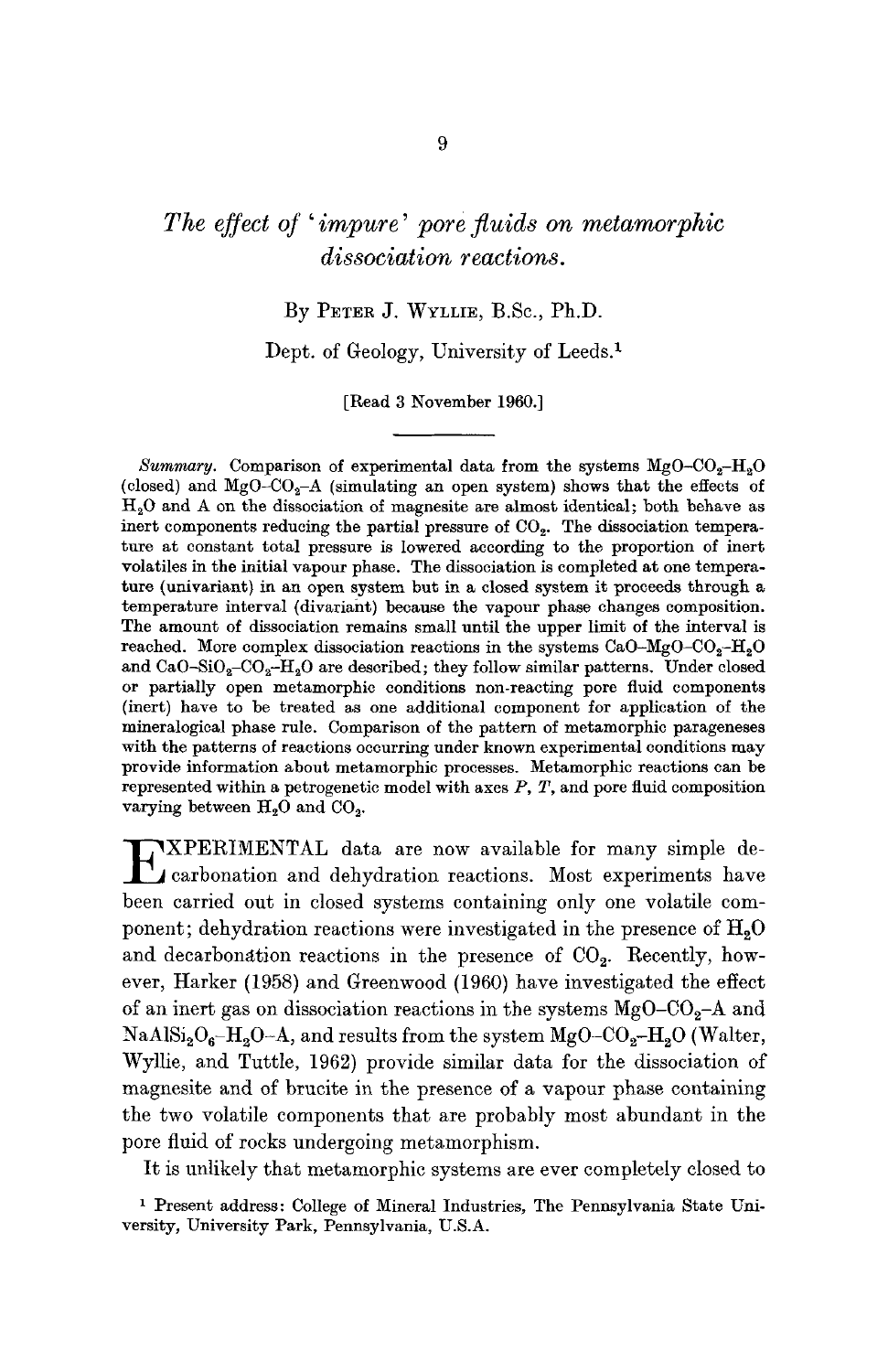# *The effect of'impure' pore fluids on metamorphic dissociation reactions.*

# By PETER J. WYLLIE, B.Se., Ph.D.

Dept. of Geology, University of Leeds. 1

[Read 3 November 1960.]

*Summary.* Comparison of experimental data from the systems  $MgO-CO<sub>2</sub>-H<sub>2</sub>O$ (closed) and MgO-CO<sub>2</sub>-A (simulating an open system) shows that the effects of H20 and A on the dissociation of magnesite are almost identical; both behave as inert components reducing the partial pressure of  $CO<sub>2</sub>$ . The dissociation temperature at constant total pressure is lowered according to the proportion of inert volatiles in the initial vapour phase. The dissociation is completed at one temperature (univariant) in an open system but in a closed system it proceeds through a temperature interval (divariaht) because the vapour phase changes composition. The amount of dissociation remains small until the upper limit of the interval is reached. More complex dissociation reactions in the systems  $CaO-MgO-CO<sub>2</sub>-H<sub>2</sub>O$ and CaO-SiO<sub>2</sub>-CO<sub>2</sub>-H<sub>2</sub>O are described; they follow similar patterns. Under closed or partially open metamorphic conditions non-reacting pore fluid components (inert) have to be treated as one additional component for application of the mineralogical phase rule. Comparison of the pattern of metamorphic parageneses with the patterns of reactions occurring under known experimental conditions may provide information about metamorphic processes. Metamorphic reactions can be represented within a petrogenetic model with axes  $P$ ,  $T$ , and pore fluid composition varying between  $H<sub>2</sub>O$  and  $CO<sub>2</sub>$ .

**EXPERIMENTAL** data are now available for many simple decarbonation and dehydration reactions. Most experiments have been carried out in closed systems containing only one volatile component; dehydration reactions were investigated in the presence of  $H_2O$ and decarbonation reactions in the presence of  $CO<sub>2</sub>$ . Recently, however, Harker (1958) and Greenwood (1960) have investigated the effect of an inert gas on dissociation reactions in the systems  $MgO-CO<sub>2</sub>-A$  and  $NaAlSi<sub>2</sub>O<sub>6</sub>-H<sub>2</sub>O-A$ , and results from the system  $MgO-CO<sub>2</sub>-H<sub>2</sub>O$  (Walter, Wyllie, and Tuttle, 1962) provide similar data for the dissociation of magnesite and of brucite in the presence of a vapour phase containing the two volatile components that are probably most abundant in the pore fluid of rocks undergoing metamorphism.

It is unlikely that metamorphic systems are ever completely closed to

1 Present address: College of Mineral Industries, The Pennsylvania State University, University Park, Pennsylvania, U.S.A.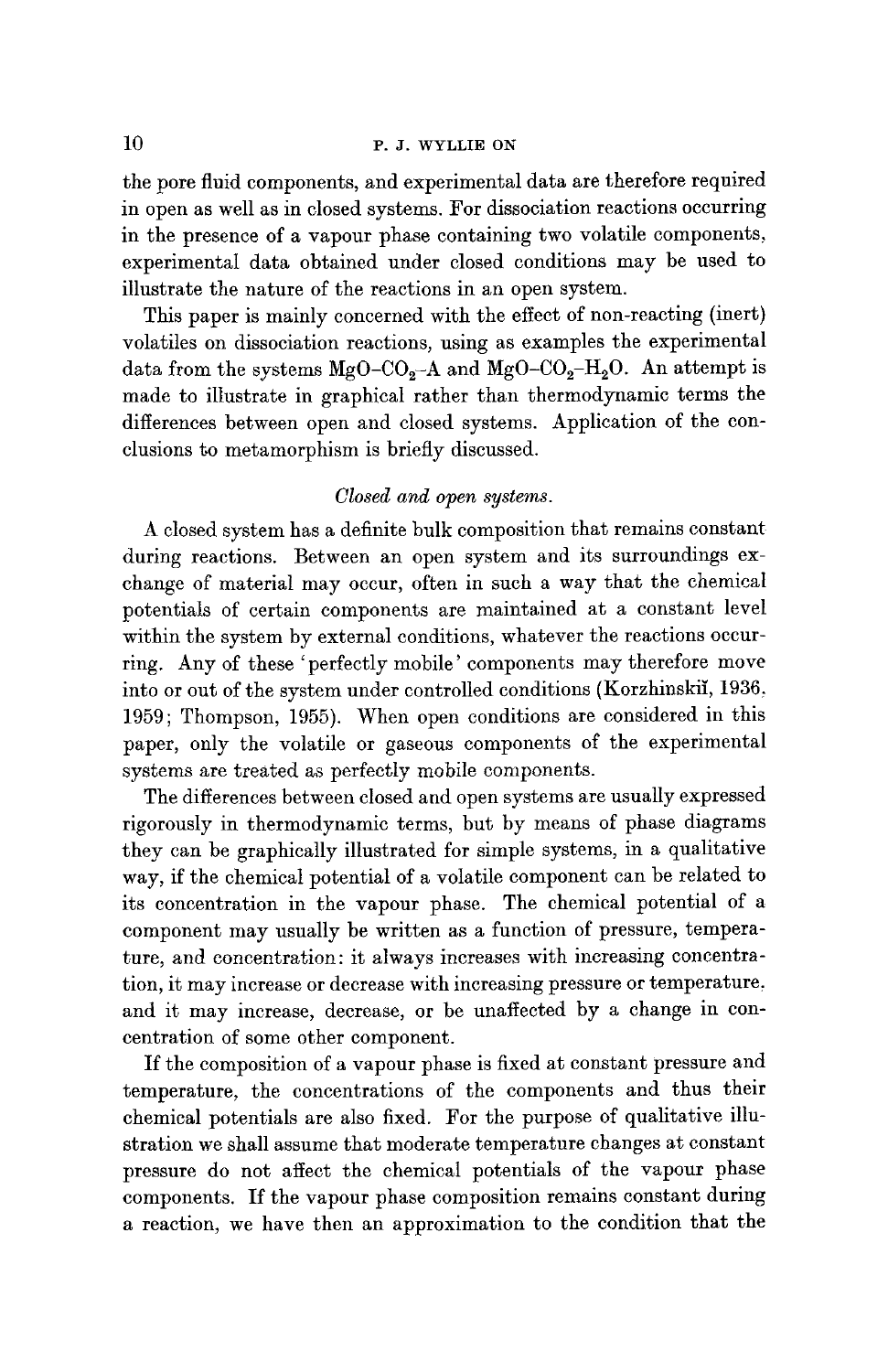# $10$  P. J. WYLLIE ON

the pore fluid components, and experimental data are therefore required in open as well as in closed systems. For dissociation reactions occurring in the presence of a vapour phase containing two volatile components, experimental data obtained under closed conditions may be used to illustrate the nature of the reactions in an open system.

This paper is mainly concerned with the effect of non-reacting (inert) volatiles on dissociation reactions, using as examples the experimental data from the systems  $MgO-CO_2-A$  and  $MgO-CO_2-H_2O$ . An attempt is made to illustrate in graphical rather than thermodynamic terms the differences between open and closed systems. Application of the conclusions to metamorphism is briefly discussed.

#### *Closed and open systems.*

A closed system has a definite bulk composition that remains constant during reactions. Between an open system and its surroundings exchange of material may occur, often in such a way that the chemical potentials of certain components are maintained at a constant level within the system by external conditions, whatever the reactions occurring. Any of these 'perfectly mobile' components may therefore move into or out of the system under controlled conditions (Korzhinskii, 1936, 1959; Thompson, 1955). When open conditions are considered in this paper, only the volatile or gaseous components of the experimental systems are treated as perfectly mobile components.

The differences between closed and open systems are usually expressed rigorously in thermodynamic terms, but by means of phase diagrams they can he graphically illustrated for simple systems, in a qualitative way, if the chemical potential of a volatile component can be related to its concentration in the vapour phase. The chemical potential of a component may usually be written as a function of pressure, temperature, and concentration: it always increases with increasing concentration, it may increase or decrease with increasing pressure or temperature, and it may increase, decrease, or be unaffected by a change in concentration of some other component.

If the composition of a vapour phase is fixed at constant pressure and temperature, the concentrations of the components and thus their chemical potentials are also fixed. For the purpose of qualitative illustration we shall assume that moderate temperature changes at constant pressure do not affect the chemical potentials of the vapour phase components. If the vapour phase composition remains constant during a reaction, we have then an approximation to the condition that the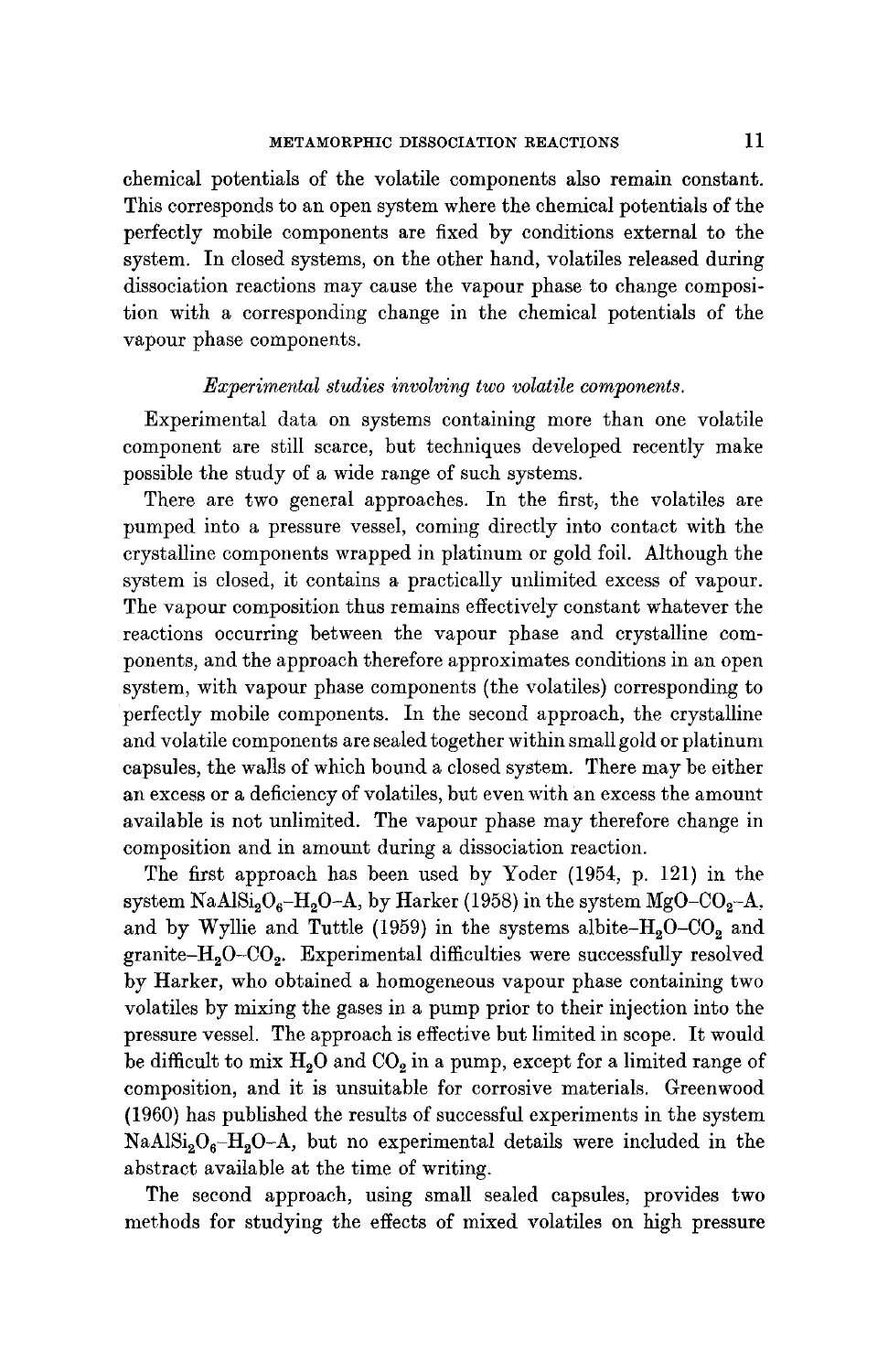chemical potentials of the volatile components also remain constant. This corresponds to an open system where the chemical potentials of the perfectly mobile components are fixed by conditions external to the system. In closed systems, on the other hand, volatiles released during dissociation reactions may cause the vapour phase to change composition with a corresponding change in the chemical potentials of the vapour phase components.

#### *Experimental studies involving two volatile components.*

Experimental data on systems containing more than one volatile component are still scarce, but techniques developed recently make possible the study of a wide range of such systems.

There are two general approaches. In the first, the volatiles are pumped into a pressure vessel, coming directly into contact with the crystalline components wrapped in platinum or gold foil. Although the system is closed, it contains a practically unlimited excess of vapour. The vapour composition thus remains effectively constant whatever the reactions occurring between the vapour phase and crystalline components, and the approach therefore approximates conditions in an open system, with vapour phase components (the volatiles) corresponding to perfectly mobile components. In the second approach, the crystalline and volatile components are sealed together within small gold or platinum capsules, the walls of which bound a closed system. There may be either an excess or a deficiency of volatiles, but even with an excess the amount available is not unlimited. The vapour phase may therefore change in composition and in amount during a dissociation reaction.

The first approach has been used by Yoder (1954, p. 121) in the system NaAlSi<sub>2</sub>O<sub>6</sub>-H<sub>2</sub>O-A, by Harker (1958) in the system MgO-CO<sub>2</sub>-A, and by Wyllie and Tuttle (1959) in the systems albite- $H_2O$ - $CO_2$  and granite- $H_2O$ -CO<sub>2</sub>. Experimental difficulties were successfully resolved by Harker, who obtained a homogeneous vapour phase containing two volatiles by mixing the gases in a pump prior to their injection into the pressure vessel. The approach is effective but limited in scope. It would be difficult to mix  $H_2O$  and  $CO_2$  in a pump, except for a limited range of composition, and it is unsuitable for corrosive materials. Greenwood (1960) has published the results of successful experiments in the system  $NaAlSi<sub>2</sub>O<sub>6</sub> - H<sub>2</sub>O - A$ , but no experimental details were included in the abstract available at the time of writing.

The second approach, using small sealed capsules, provides two methods for studying the effects of mixed volatiles on high pressure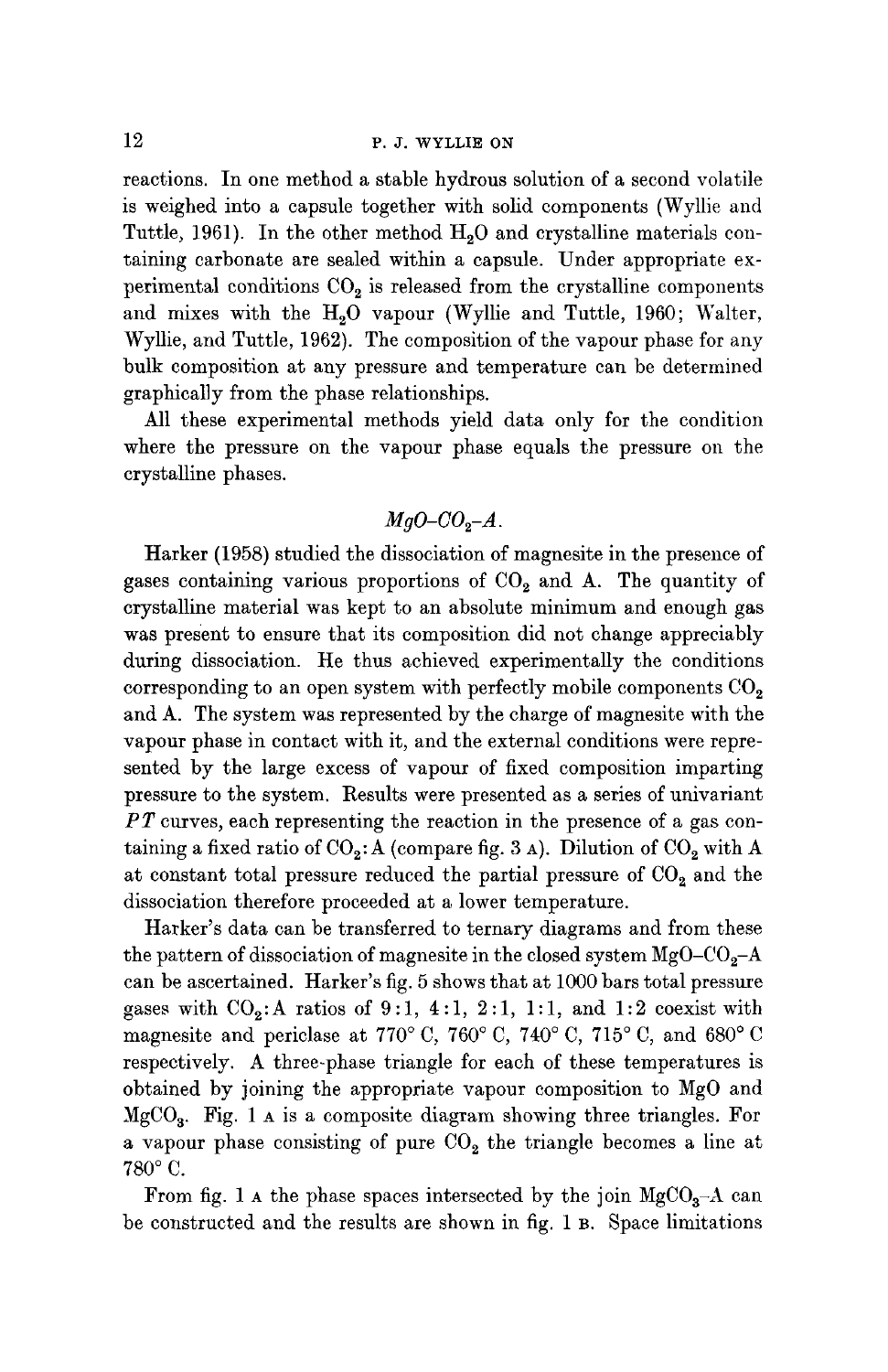reactions. In one method a stable hydrous solution of a second volatile is weighed into a capsule together with solid components (Wyllie and Tuttle, 1961). In the other method H<sub>2</sub>O and crystalline materials containing carbonate are sealed within a capsule. Under appropriate experimental conditions  $CO<sub>2</sub>$  is released from the crystalline components and mixes with the H<sub>2</sub>O vapour (Wyllie and Tuttle, 1960; Walter, Wyllie, and Tuttle, 1962). The composition of the vapour phase for any bulk composition at any pressure and temperature can be determined graphically from the phase relationships.

All these experimental methods yield data only for the condition where the pressure on the vapour phase equals the pressure on the crystalline phases.

# $MqO$ - $CO<sub>2</sub>-A$ .

Harker (1958) studied the dissociation of magnesite in the presence of gases containing various proportions of  $CO<sub>2</sub>$  and A. The quantity of crystalline material was kept to an absolute minimum and enough gas was present to ensure that its composition did not change appreciably during dissociation. He thus achieved experimentally the conditions corresponding to an open system with perfectly mobile components  $CO<sub>2</sub>$ and A. The system was represented by the charge of magnesite with the vapour phase in contact with it, and the external conditions were represented by the large excess of vapour of fixed composition imparting pressure to the system. Results were presented as a series of univariant *PT* curves, each representing the reaction in the presence of a gas containing a fixed ratio of  $CO_2$ : A (compare fig. 3 A). Dilution of  $CO_2$  with A at constant total pressure reduced the partial pressure of  $CO<sub>2</sub>$  and the dissociation therefore proceeded at a lower temperature.

Harker's data can be transferred to ternary diagrams and from these the pattern of dissociation of magnesite in the closed system  $MgO-CO<sub>2</sub>-A$ can be ascertained. Harker's fig. 5 shows that at 1000 bars total pressure gases with  $CO_2$ : A ratios of 9:1, 4:1, 2:1, 1:1, and 1:2 coexist with magnesite and periclase at 770° C, 760° C, 740° C, 715° C, and 680° C respectively. A three-phase triangle for each of these temperatures is obtained by joining the appropriate vapour composition to MgO and  $MgCO<sub>3</sub>$ . Fig. 1 A is a composite diagram showing three triangles. For a vapour phase consisting of pure  $CO<sub>2</sub>$  the triangle becomes a line at  $780^{\circ}$  C.

From fig. 1 A the phase spaces intersected by the join  $MgCO<sub>3</sub>-A$  can be constructed and the results are shown in fig. 1 B. Space limitations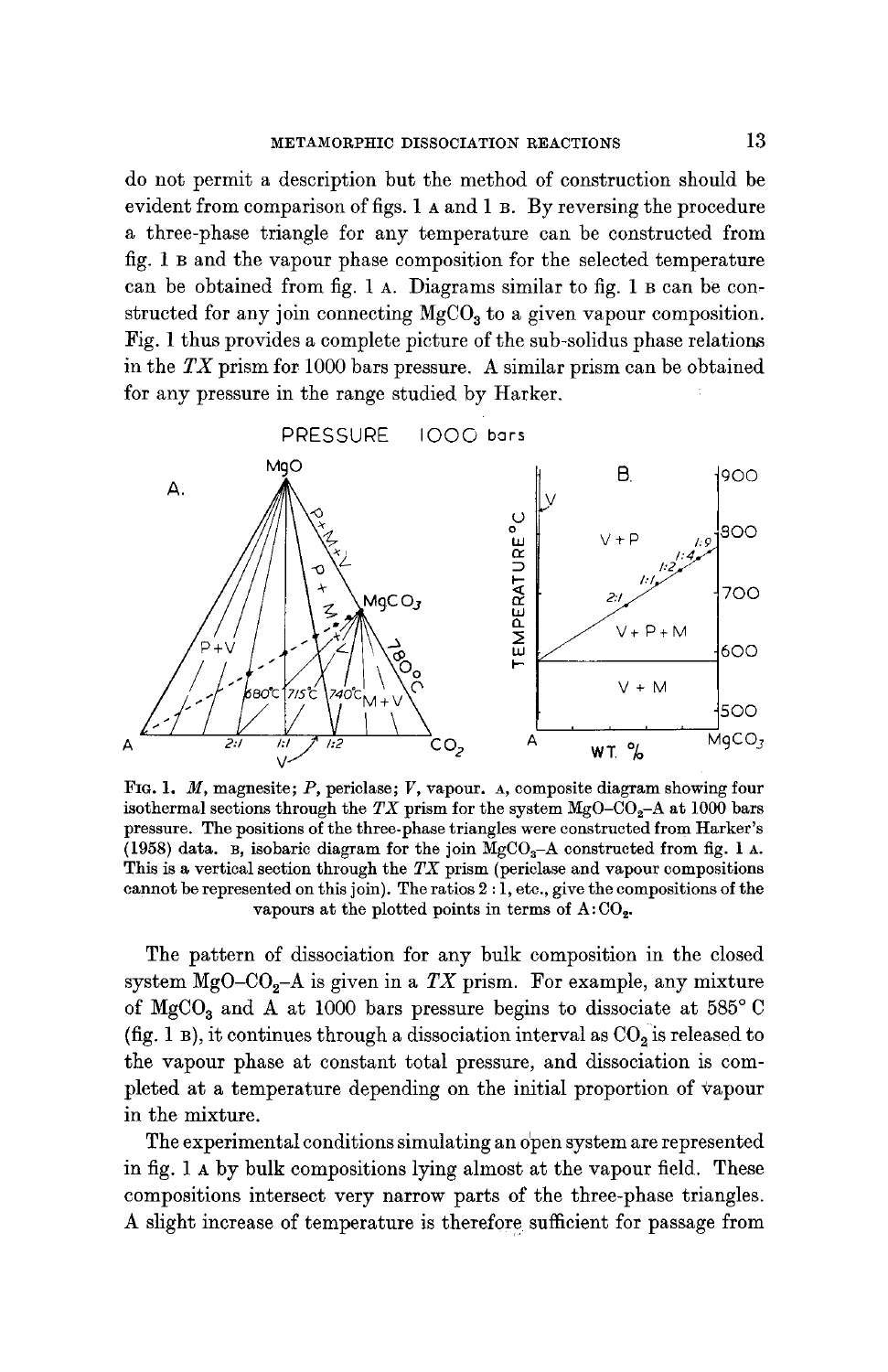do not permit a description but the method of construction should be evident from comparison of figs. 1 A and 1 B. By reversing the procedure a three-phase triangle for any temperature can be constructed from fig. 1 B and the vapour phase composition for the selected temperature can be obtained from fig. 1 A. Diagrams similar to fig. 1 B can be constructed for any join connecting  $MgCO<sub>3</sub>$  to a given vapour composition. Fig. 1 thus provides a complete picture of the sub-solidus phase relations in the *TX* prism for 1000 bars pressure. A similar prism can be obtained for any pressure in the range studied by Harker.



FIG. I. M, magnesite; P, periclase; V, vapour. A, composite diagram showing four isothermal sections through the *TX* prism for the system  $MgO-CO<sub>2</sub>$ -A at 1000 bars pressure. The positions of the three-phase triangles were constructed from Harker's (1958) data. B, isobaric diagram for the join  $MgCO<sub>3</sub>-A$  constructed from fig. 1 A. This is a vertical section through the *TX* prism (periclase and vapour compositions cannot be represented on this join). The ratios  $2:\overline{1}$ , etc., give the compositions of the vapours at the plotted points in terms of  $A:CO<sub>2</sub>$ .

The pattern of dissociation for any bulk composition in the closed system  $MgO-CO<sub>2</sub>-A$  is given in a *TX* prism. For example, any mixture of MgCO<sub>3</sub> and A at 1000 bars pressure begins to dissociate at 585 $^{\circ}$ C (fig. 1 B), it continues through a dissociation interval as  $CO<sub>2</sub>$  is released to the vapour phase at constant total pressure, and dissociation is completed at a temperature depending on the initial proportion of vapour in the mixture.

The experimental conditions simulating an o'pen system are represented in fig. 1 A by bulk compositions lying almost at the vapour field. These compositions intersect very narrow parts of the three-phase triangles. A slight increase of temperature is therefore sufficient for passage from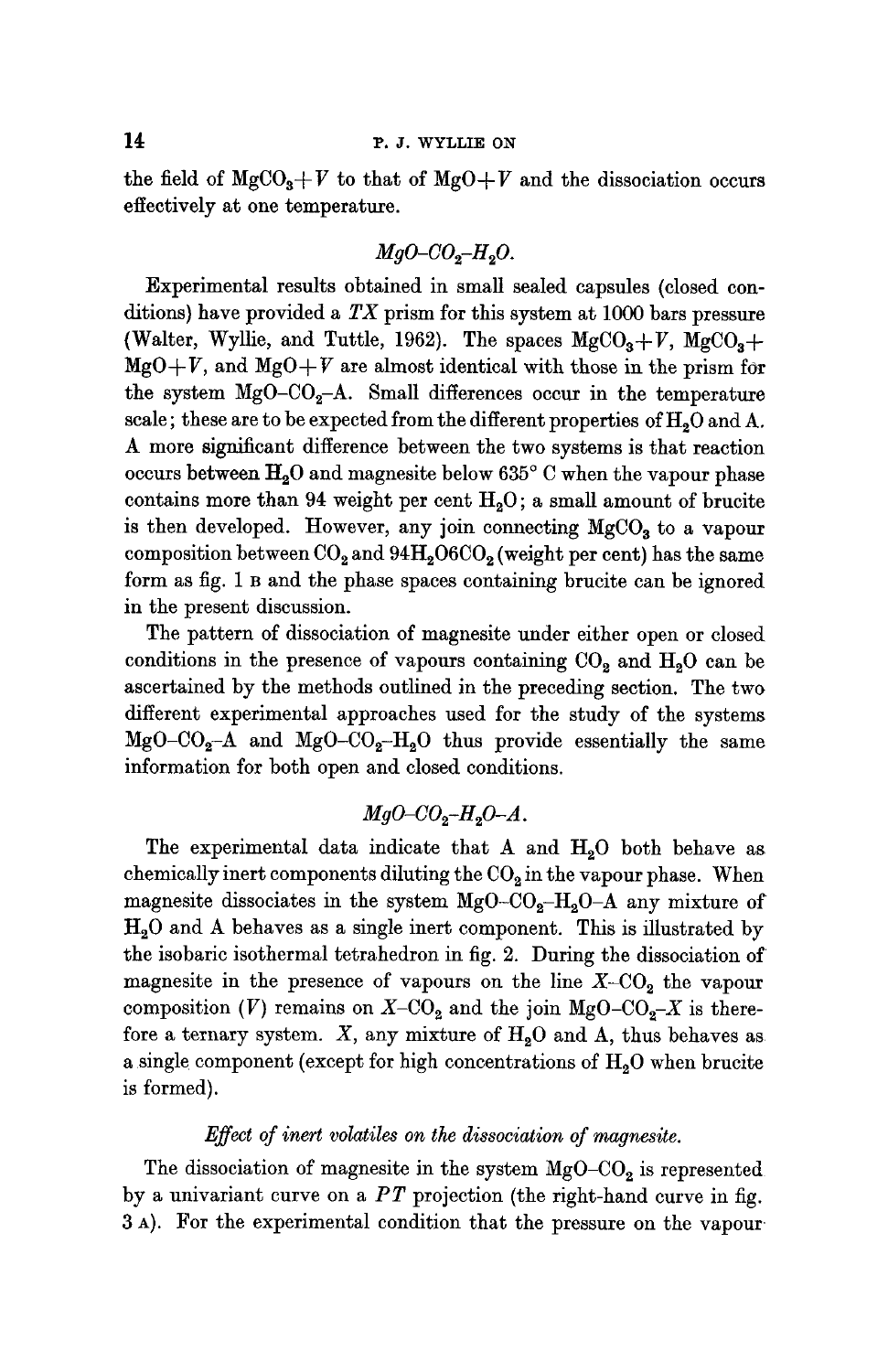the field of  $MgCO<sub>3</sub>+V$  to that of  $MgO+V$  and the dissociation occurs effectively at one temperature.

# $MqO-CO_q-H_2O$ .

Experimental results obtained in small sealed capsules (closed conditions) have provided a *TX* prism for this system at 1000 bars pressure (Walter, Wyllie, and Tuttle, 1962). The spaces  ${ {\rm MgCO}_{3}+V, \ {\rm MgCO}_{3}+ }$  $MgO+V$ , and  $MgO+V$  are almost identical with those in the prism for the system  $MgO-CO<sub>2</sub>-A$ . Small differences occur in the temperature scale; these are to be expected from the different properties of H<sub>2</sub>O and A. A more significant difference between the two systems is that reaction occurs between  $H<sub>2</sub>O$  and magnesite below 635° C when the vapour phase contains more than 94 weight per cent  $H<sub>2</sub>O$ ; a small amount of brucite is then developed. However, any join connecting  $MgCO<sub>3</sub>$  to a vapour composition between  $CO<sub>2</sub>$  and  $94H<sub>2</sub>06CO<sub>2</sub>$  (weight per cent) has the same form as fig. 1 B and the phase spaces containing brucite can be ignored in the present discussion.

The pattern of dissociation of magnesite under either open or closed conditions in the presence of vapours containing  $CO<sub>2</sub>$  and  $H<sub>2</sub>O$  can be ascertained by the methods outlined in the preceding section. The two different experimental approaches used for the study of the systems  $MgO-CO<sub>2</sub>-A$  and  $MgO-CO<sub>2</sub>-H<sub>2</sub>O$  thus provide essentially the same information for both open and closed conditions.

## $MqO$ - $CO<sub>2</sub>$ - $H<sub>a</sub>O$ - $A$ .

The experimental data indicate that A and  $H_2O$  both behave as chemically inert components diluting the  $CO<sub>2</sub>$  in the vapour phase. When magnesite dissociates in the system  $MgO-CO<sub>2</sub>-H<sub>2</sub>O-A$  any mixture of  $H<sub>2</sub>O$  and A behaves as a single inert component. This is illustrated by the isobaric isothermal tetrahedron in fig. 2. During the dissociation of magnesite in the presence of vapours on the line  $X$ -CO<sub>2</sub> the vapour composition (V) remains on  $X$ -CO<sub>2</sub> and the join MgO-CO<sub>2</sub>-X is therefore a ternary system. X, any mixture of  $H_2O$  and A, thus behaves as a single component (except for high concentrations of  $H_2O$  when brucite is formed).

#### *Effect of inert volatiles on the dissociation of magnesite.*

The dissociation of magnesite in the system  $MgO-CO<sub>2</sub>$  is represented by a univariant curve on a *PT* projection (the right-hand curve in fig. 3 A). For the experimental condition that the pressure on the vapour.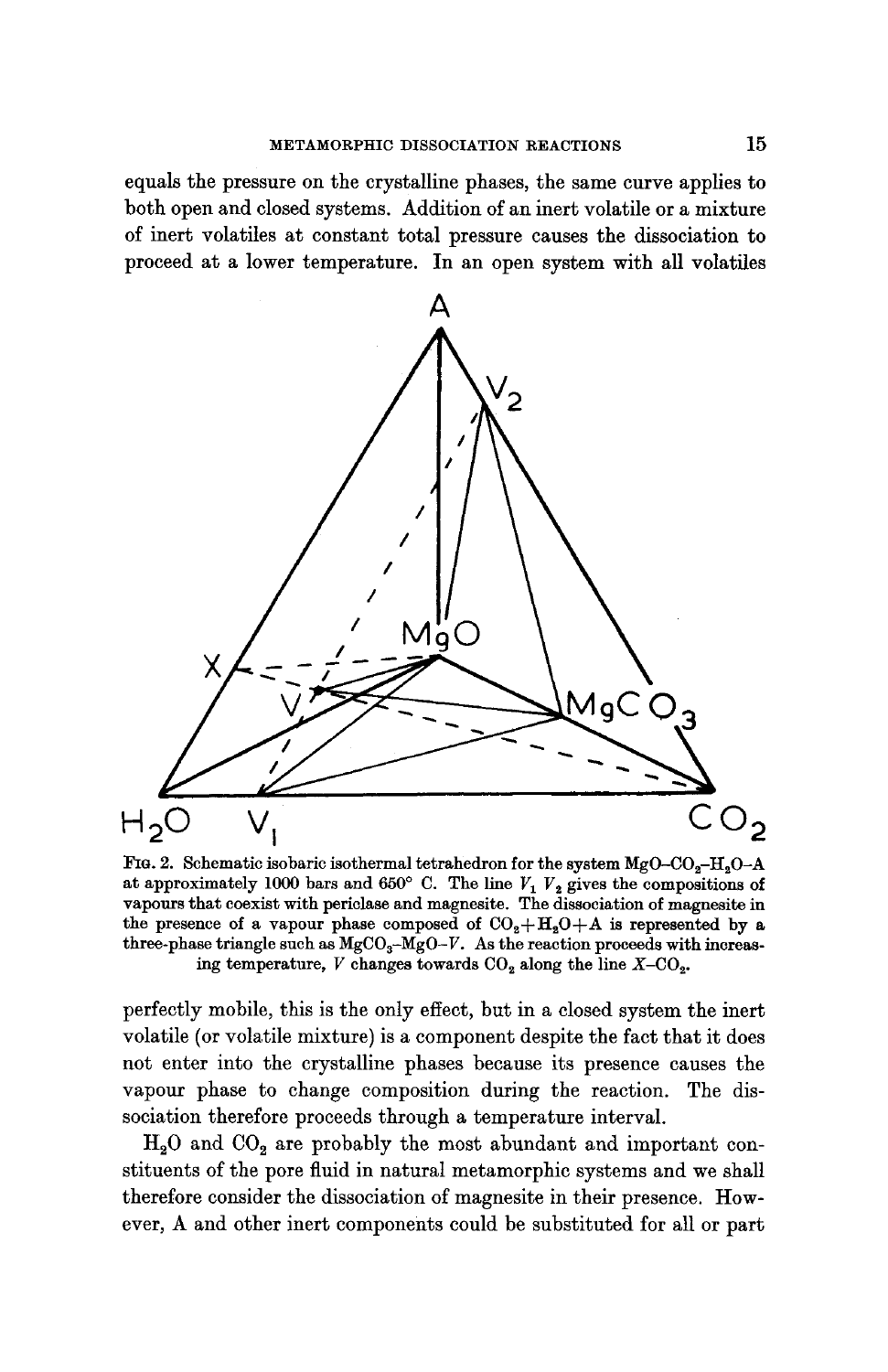equals the pressure on the crystalline phases, the same curve applies to both open and closed systems. Addition of an inert volatile or a mixture of inert volatiles at constant total pressure causes the dissociation to proceed at a lower temperature. In an open system with all volatiles



FIG. 2. Schematic isobaric isothermal tetrahedron for the system  $MgO-CO_2-H_2O-A$ at approximately 1000 bars and 650° C. The line  $V_1$   $V_2$  gives the compositions of vapours that coexist with periclase and magnesite. The dissociation of magnesite in the presence of a vapour phase composed of  $CO<sub>2</sub>+H<sub>2</sub>O+A$  is represented by a three-phase triangle such as  $MgCO<sub>3</sub>-MgO-V$ . As the reaction proceeds with increasing temperature, V changes towards  $CO<sub>2</sub>$  along the line  $X-CO<sub>3</sub>$ .

perfectly mobile, this is the only effect, but in a closed system the inert volatile (or volatile mixture) is a component despite the fact that it does not enter into the crystalline phases because its presence causes the vapour phase to change composition during the reaction. The dissociation therefore proceeds through a temperature interval.

 $H<sub>2</sub>O$  and  $CO<sub>2</sub>$  are probably the most abundant and important constituents of the pore fluid in natural metamorphic systems and we shall therefore consider the dissociation of magnesite in their presence. However, A and other inert components could be substituted for all or part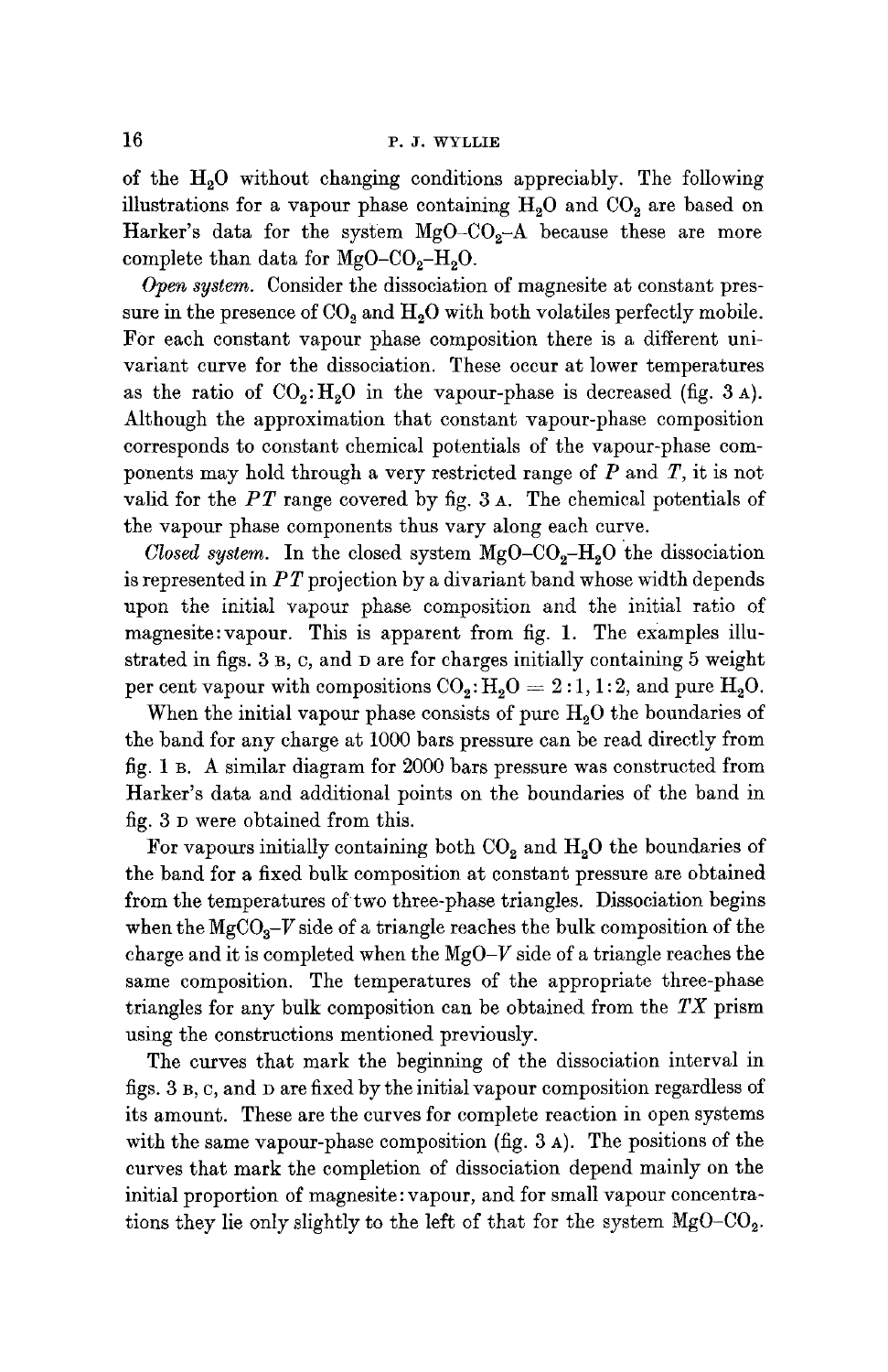of the H20 without changing conditions appreciably. The following illustrations for a vapour phase containing  $H_2O$  and  $CO_2$  are based on Harker's data for the system  $MgO-CO<sub>2</sub>-A$  because these are more complete than data for  $MgO-CO<sub>2</sub>-H<sub>2</sub>O$ .

*Open system.* Consider the dissociation of magnesite at constant pressure in the presence of  $CO<sub>2</sub>$  and  $H<sub>2</sub>O$  with both volatiles perfectly mobile. For each constant vapour phase composition there is a different univariant curve for the dissociation. These occur at lower temperatures as the ratio of  $CO<sub>2</sub>: H<sub>2</sub>O$  in the vapour-phase is decreased (fig. 3 A). Although the approximation that constant vapour-phase composition corresponds to constant chemical potentials of the vapour-phase components may hold through a very restricted range of  $P$  and  $T$ , it is not valid for the *PT* range covered by fig. 3 A. The chemical potentials of the vapour phase components thus vary along each curve.

*Closed system.* In the closed system  $MgO-CO<sub>2</sub>-H<sub>2</sub>O$  the dissociation is represented in *PT* projection by a divariant band whose width depends upon the initial vapour phase composition and the initial ratio of magnesite:vapour. This is apparent from fig. 1. The examples illustrated in figs. 3 B, C, and D are for charges initially containing 5 weight per cent vapour with compositions  $CO_2: H_2O = 2:1, 1:2$ , and pure  $H_2O$ .

When the initial vapour phase consists of pure  $H<sub>2</sub>O$  the boundaries of the band for any charge at 1000 bars pressure can be read directly from fig. 1 B. A similar diagram for 2000 bars pressure was constructed from Harker's data and additional points on the boundaries of the band in fig. 3 D were obtained from this.

For vapours initially containing both  $CO<sub>2</sub>$  and  $H<sub>2</sub>O$  the boundaries of the band for a fixed bulk composition at constant pressure are obtained from the temperatures of two three-phase triangles. Dissociation begins when the  $MgCO<sub>3</sub>-V$  side of a triangle reaches the bulk composition of the charge and it is completed when the *MgO-V* side of a triangle reaches the same composition. The temperatures of the appropriate three-phase triangles for any bulk composition can be obtained from the *TX* prism using the constructions mentioned previously.

The curves that mark the beginning of the dissociation interval in figs. 3 B, c, and D are fixed by the initial vapour composition regardless of its amount. These are the curves for complete reaction in open systems with the same vapour-phase composition (fig. 3 A). The positions of the curves that mark the completion of dissociation depend mainly on the initial proportion of magnesite : vapour, and for small vapour concentrations they lie only slightly to the left of that for the system  $MgO-CO<sub>2</sub>$ .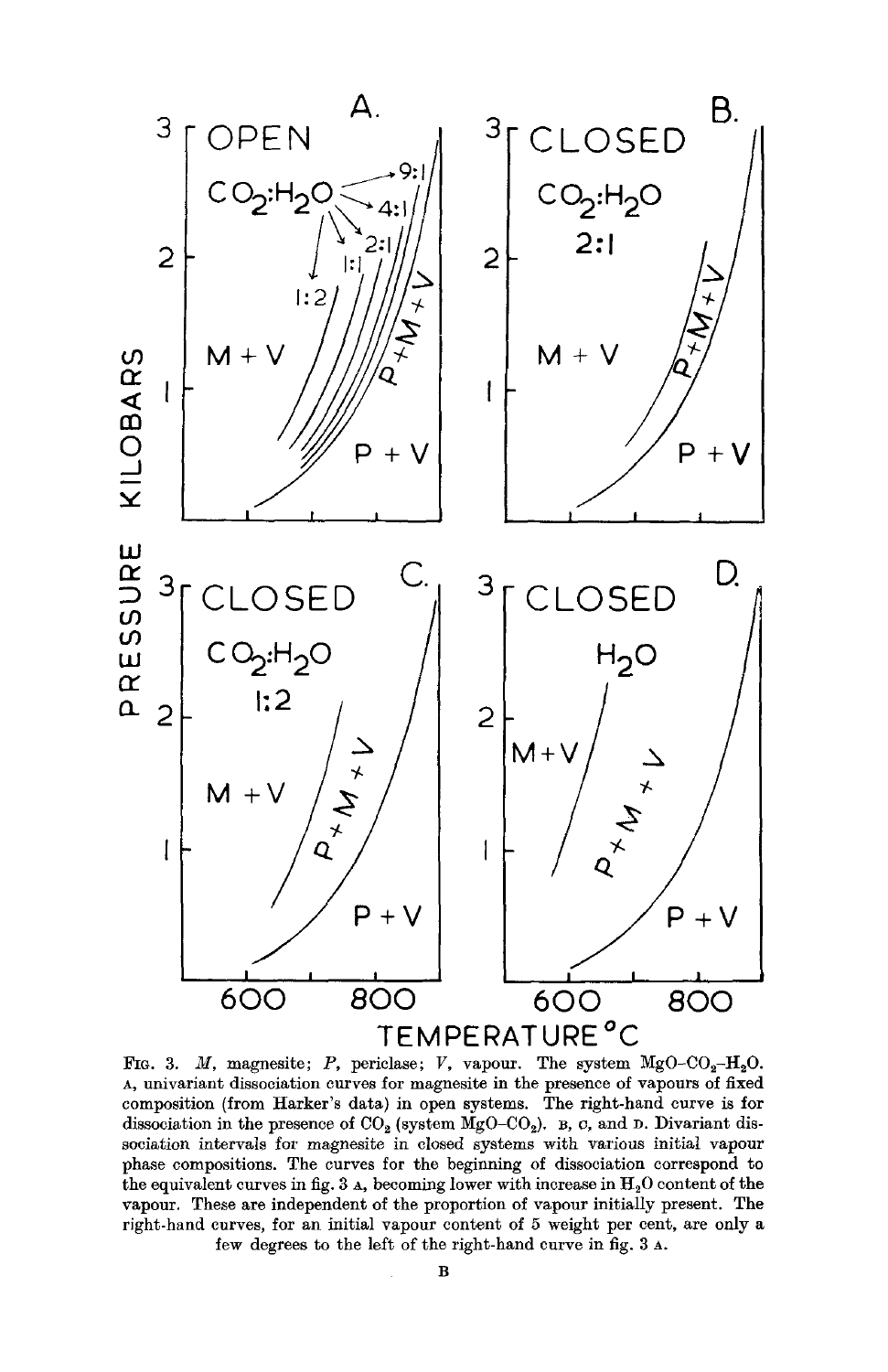

FIG. 3. M, magnesite; P, periclase; V, vapour. The system  $MgO-CO_2-H_2O$ . A, tmivariant dissociation curves for magnesite in the presence of vapours of fixed composition (from Harker's data) in open systems. The right-hand curve is for dissociation in the presence of  $CO<sub>2</sub>$  (system MgO-CO<sub>2</sub>).  $\overline{B}$ , c, and D. Divariant dissociation intervals for magnesite in closed systems with various initial vapour phase compositions. The curves for the beginning of dissociation correspond to the equivalent curves in fig. 3  $\alpha$ , becoming lower with increase in  $H_2O$  content of the vapour. These are independent of the proportion of vapour initially present. The right-hand curves, for an initial vapour content of 5 weight per cent, are only a few degrees to the left of the right-hand curve in fig. 3 A.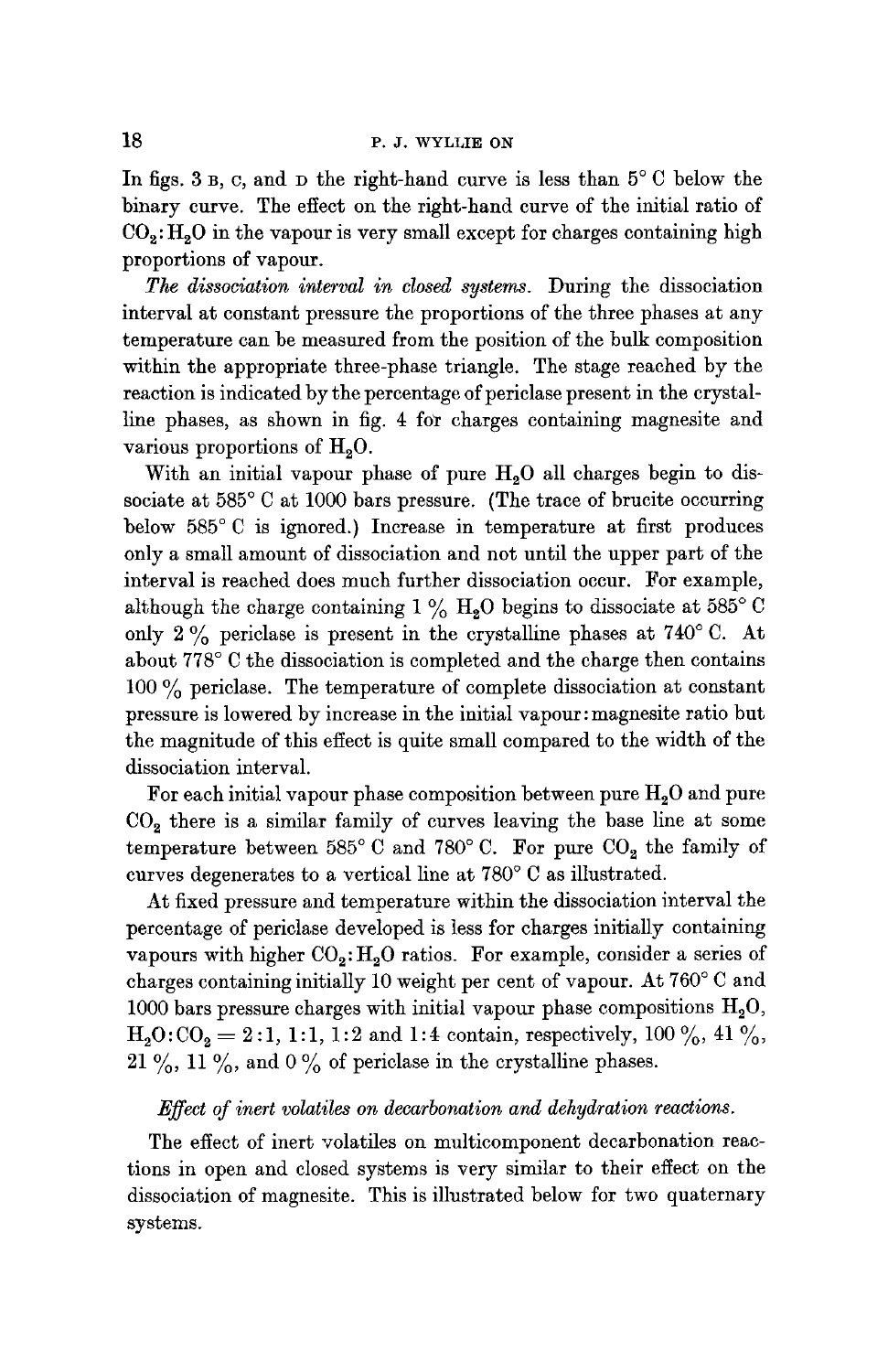In figs. 3 B, C, and D the right-hand curve is less than  $5^{\circ}$  C below the binary curve. The effect on the right-hand curve of the initial ratio of  $CO_2$ :  $H_2O$  in the vapour is very small except for charges containing high proportions of vapour.

*The dissociation interval in closed systems.* During the dissociation interval at constant pressure the proportions of the three phases at any temperature can be measured from the position of the bulk composition within the appropriate three-phase triangle. The stage reached by the reaction is indicated by the percentage of periclase present in the crystalline phases, as shown in fig. 4 for charges containing magnesite and various proportions of  $H<sub>0</sub>O$ .

With an initial vapour phase of pure  $H<sub>2</sub>O$  all charges begin to dissociate at  $585^{\circ}$  C at 1000 bars pressure. (The trace of brucite occurring below  $585^{\circ}$  C is ignored.) Increase in temperature at first produces only a small amount of dissociation and not until the upper part of the interval is reached does much further dissociation occur. For example, although the charge containing  $1\%$  H<sub>2</sub>O begins to dissociate at 585<sup>°</sup>C only 2% periclase is present in the crystalline phases at  $740^{\circ}$  C. At about 778° C the dissociation is completed and the charge then contains 100  $\%$  periclase. The temperature of complete dissociation at constant pressure is lowered by increase in the initial vapour: magnesite ratio but the magnitude of this effect is quite small compared to the width of the dissociation interval.

For each initial vapour phase composition between pure  $H_2O$  and pure  $CO<sub>2</sub>$  there is a similar family of curves leaving the base line at some temperature between 585° C and 780° C. For pure  $CO<sub>2</sub>$  the family of curves degenerates to a vertical line at 780° C as illustrated.

At fixed pressure and temperature within the dissociation interval the percentage of periclase developed is less for charges initially containing vapours with higher  $CO_2$ :  $H_2O$  ratios. For example, consider a series of charges containing initially 10 weight per cent of vapour. At  $760^{\circ}$  C and 1000 bars pressure charges with initial vapour phase compositions  $H_2O$ ,  $H_2O: CO_2 = 2:1, 1:1, 1:2$  and 1:4 contain, respectively, 100 %, 41 %, 21 %, 11 %, and 0 % of periclase in the crystalline phases.

#### *Effect of inert volatiles on decarbonation and dehydration reactions.*

The effect of inert volatiles on multicomponent decarbonation reactions in open and closed systems is very similar to their effect on the dissociation of magnesite. This is illustrated below for two quaternary systems.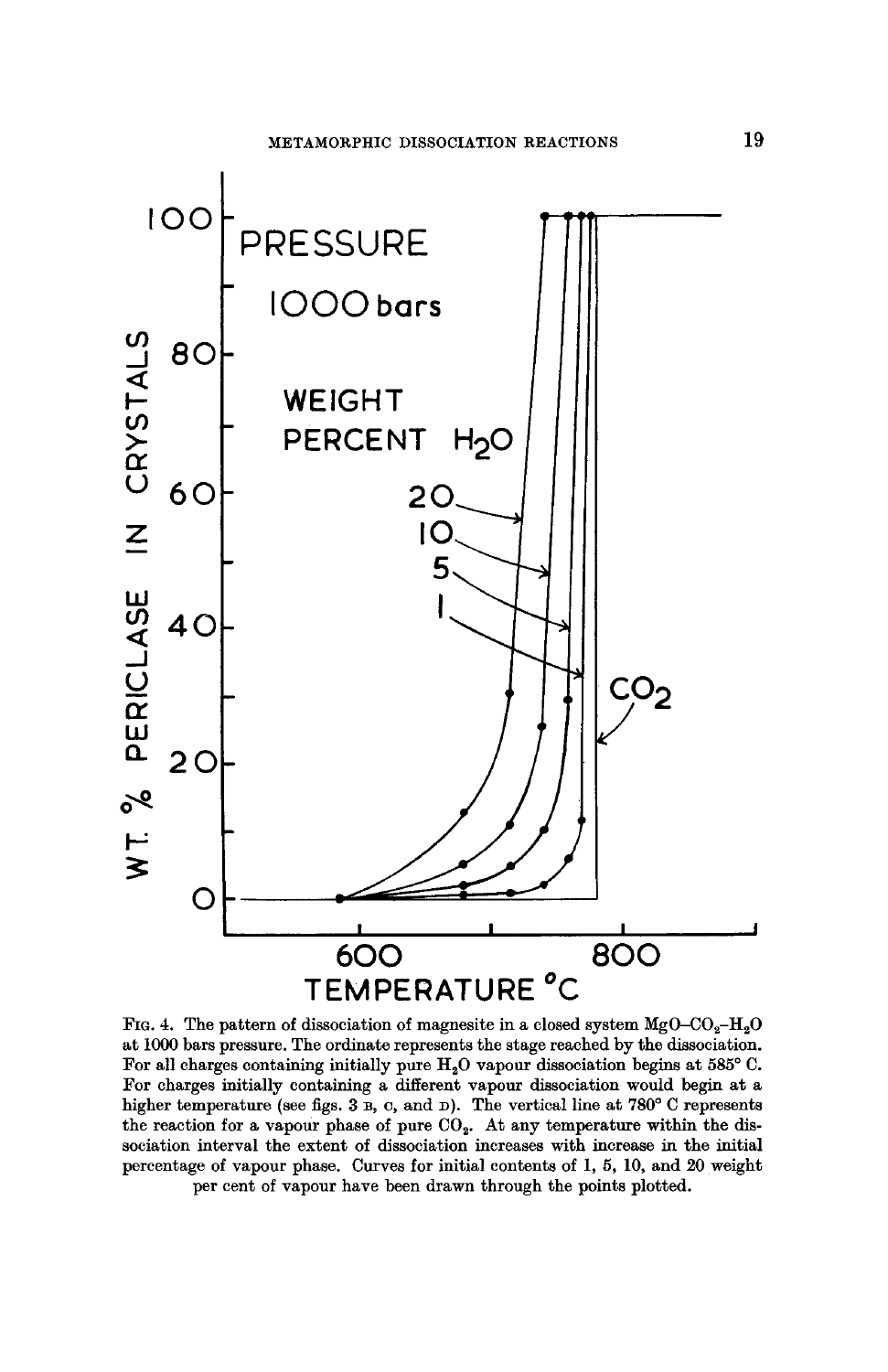

FIG. 4. The pattern of dissociation of magnesite in a closed system  $MgO-CO_2-H_2O$ at I000 bars pressure. The ordinate represents the stage reached by the dissociation. For all charges containing initially pure  $H_2O$  vapour dissociation begins at 585° C. For charges initially containing a different vapour dissociation would begin at a higher temperature (see figs.  $3$  B, C, and D). The vertical line at  $780^{\circ}$  C represents the reaction for a vapour phase of pure  $CO<sub>2</sub>$ . At any temperature within the dissociation interval the extent of dissociation increases with increase in the initial percentage of vapour phase. Curves for initial contents of i, 5, 10, and 20 weight per cent of vapour have been drawn through the points plotted.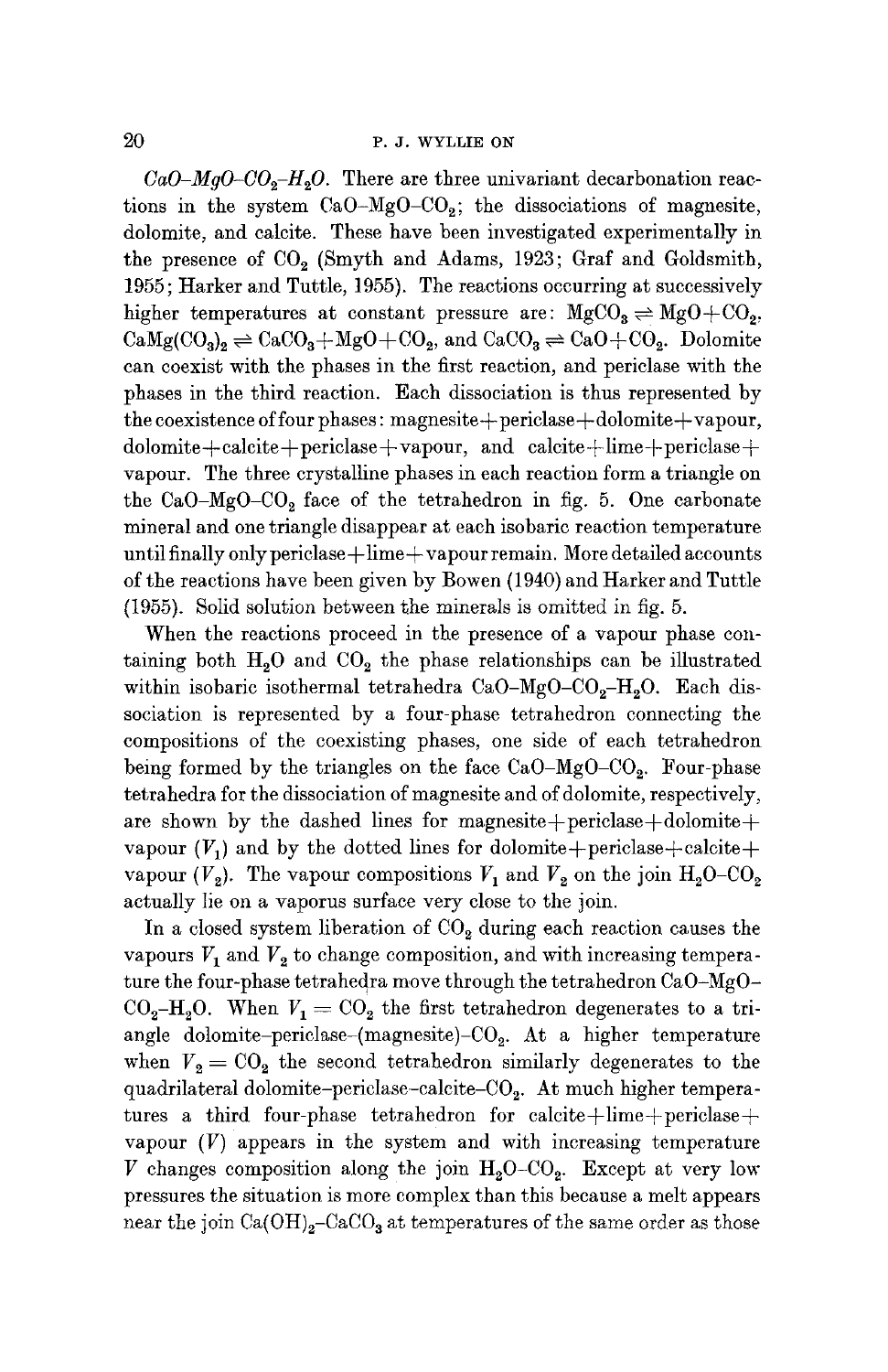#### $20$  P. J. WYLLIE ON

 $CaO-MgO-CO<sub>2</sub>-H<sub>2</sub>O$ . There are three univariant decarbonation reactions in the system  $CaO-MgO-CO<sub>2</sub>$ ; the dissociations of magnesite, dolomite, and calcite. These have been investigated experimentally in the presence of CO<sub>2</sub> (Smyth and Adams, 1923; Graf and Goldsmith, 1955; Harker and Tuttle, 1955). The reactions occurring at successively higher temperatures at constant pressure are:  $MgCO<sub>3</sub> \rightleftharpoons MgO + CO<sub>2</sub>$ ,  $CaMg(CO_3)_2 \rightleftharpoons CaCO_3+MgO+CO_2$ , and  $CaCO_3 \rightleftharpoons CaO+CO_2$ . Dolomite can coexist with the phases in the first reaction, and periclase with the phases in the third reaction. Each dissociation is thus represented by  $the coexistence of four phases: magnesite + periclass + dolomite + vapour,$  $\text{dolomite}+\text{calculate}+\text{pericles}+\text{vapour}, \text{ and } \text{ calcite}+\text{lime}+\text{periodise}+\text{m}$ vapour. The three crystalline phases in each reaction form a triangle on the CaO-MgO-CO<sub>2</sub> face of the tetrahedron in fig. 5. One carbonate mineral and one triangle disappear at each isobaric reaction temperature until finally only periclase $+\lim_{x\to 0}$  vapour remain. More detailed accounts of the reactions have been given by Bowen (1940) and Harker and Tuttle  $(1955)$ . Solid solution between the minerals is omitted in fig. 5.

When the reactions proceed in the presence of a vapour phase containing both  $H_2O$  and  $CO_2$  the phase relationships can be illustrated within isobaric isothermal tetrahedra CaO-MgO-CO<sub>2</sub>-H<sub>2</sub>O. Each dissociation is represented by a four-phase tetrahedron connecting the compositions of the coexisting phases, one side of each tetrahedron being formed by the triangles on the face  $CaO-MgO-CO_2$ . Four-phase tetrahedra for the dissociation of magnesite and of dolomite, respectively, are shown by the dashed lines for magnesite+periclase+dolomite+ vapour  $(V_1)$  and by the dotted lines for dolomite+periclase+calcite+ vapour  $(V_2)$ . The vapour compositions  $V_1$  and  $V_2$  on the join  $H_2O-CO_2$ actually lie on a vaporus surface very close to the join.

In a closed system liberation of  $CO<sub>2</sub>$  during each reaction causes the vapours  $V_1$  and  $V_2$  to change composition, and with increasing temperature the four-phase tetrahedra move through the tetrahedron  ${\rm CaO-MgO-}$  $CO<sub>2</sub>-H<sub>2</sub>O$ . When  $V<sub>1</sub> = CO<sub>2</sub>$  the first tetrahedron degenerates to a triangle dolomite-periclase-(magnesite)- $CO<sub>2</sub>$ . At a higher temperature when  $V_2 = \text{CO}_2$  the second tetrahedron similarly degenerates to the quadrilateral dolomite-periclase-calcite- $CO<sub>2</sub>$ . At much higher temperatures a third four-phase tetrahedron for calcite $+\lim$ e $+\text{periods}$ e $+$ vapour  $(V)$  appears in the system and with increasing temperature V changes composition along the join  $H_2O$ -CO<sub>2</sub>. Except at very low pressures the situation is more complex than this because a melt appears near the join Ca(OH)<sub>2</sub>–CaCO<sub>3</sub> at temperatures of the same order as those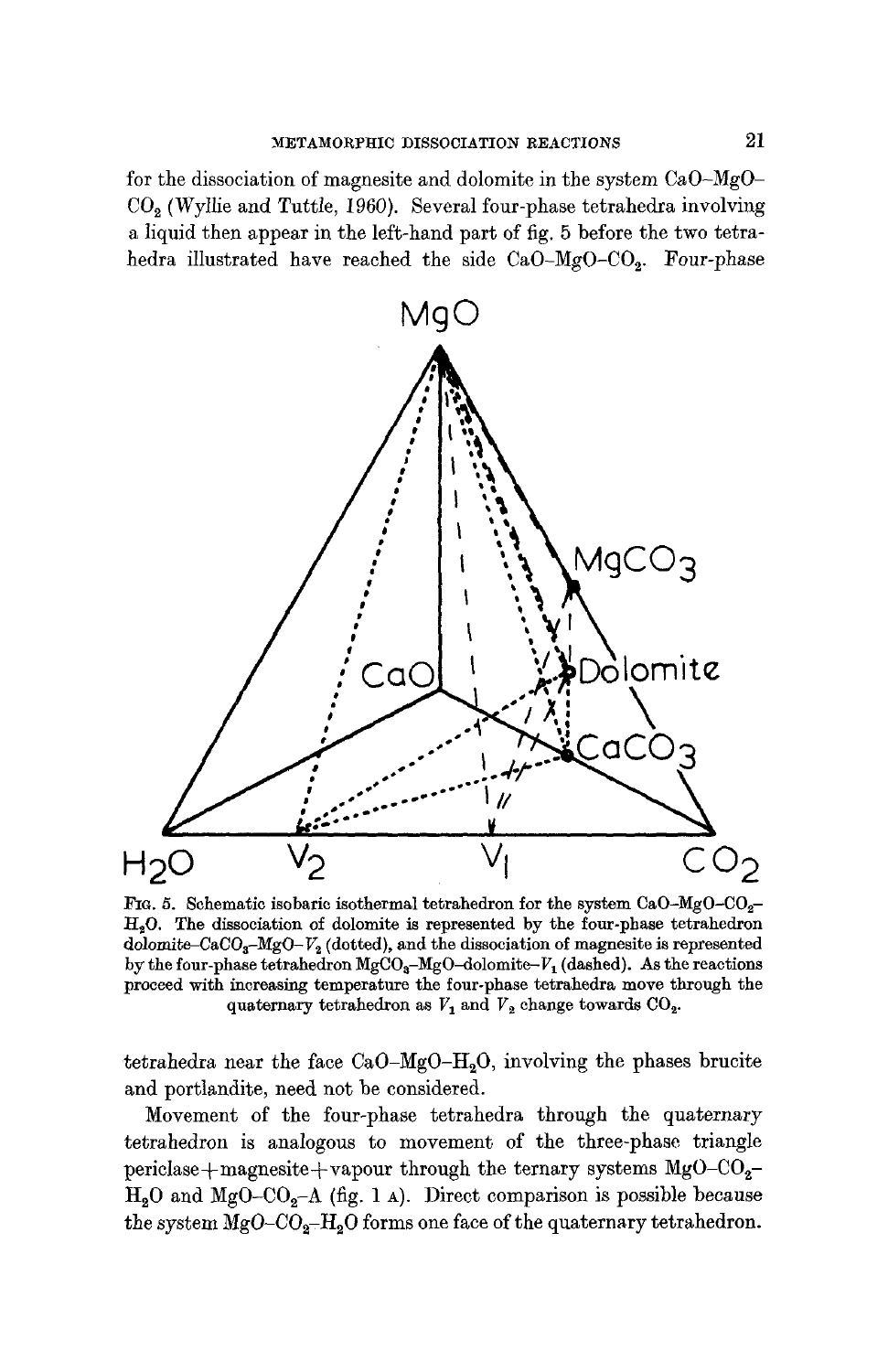for the dissociation of magnesite and dolomite in the system CaO-MgO- $CO<sub>2</sub>$  (Wyllie and Tuttle, 1960). Several four-phase tetrahedra involving a liquid then appear in the left-hand part of fig. 5 before the two tetrahedra illustrated have reached the side CaO-MgO-CO<sub>2</sub>. Four-phase



FIG. 5. Schematic isobaric isothermal tetrahedron for the system  $CaO-MgO-CO<sub>2</sub> H<sub>2</sub>O$ . The dissociation of dolomite is represented by the four-phase tetrahedron dolomite-CaCO<sub>3</sub>-MgO- $V_2$  (dotted), and the dissociation of magnesite is represented by the four-phase tetrahedron  $MgCO<sub>a</sub>-MgO-dolomite-V<sub>1</sub>$  (dashed). As the reactions proceed with inoreasing temperature the four-phase tetrahedra move through the quaternary tetrahedron as  $V_1$  and  $V_2$  change towards  $CO_2$ .

tetrahedra near the face  $CaO-MgO-H<sub>2</sub>O$ , involving the phases brucite and portlandite, need not be considered.

Movement of the four-phase tetrahedra through the quaternary tetrahedron is analogous to movement of the three-phase triangle periclase+magnesite+vapour through the ternary systems  $MgO-CO<sub>2</sub>$ - $H<sub>2</sub>O$  and MgO-CO<sub>2</sub>-A (fig. 1 A). Direct comparison is possible because the system  $MgO-CO<sub>2</sub>-H<sub>2</sub>O$  forms one face of the quaternary tetrahedron.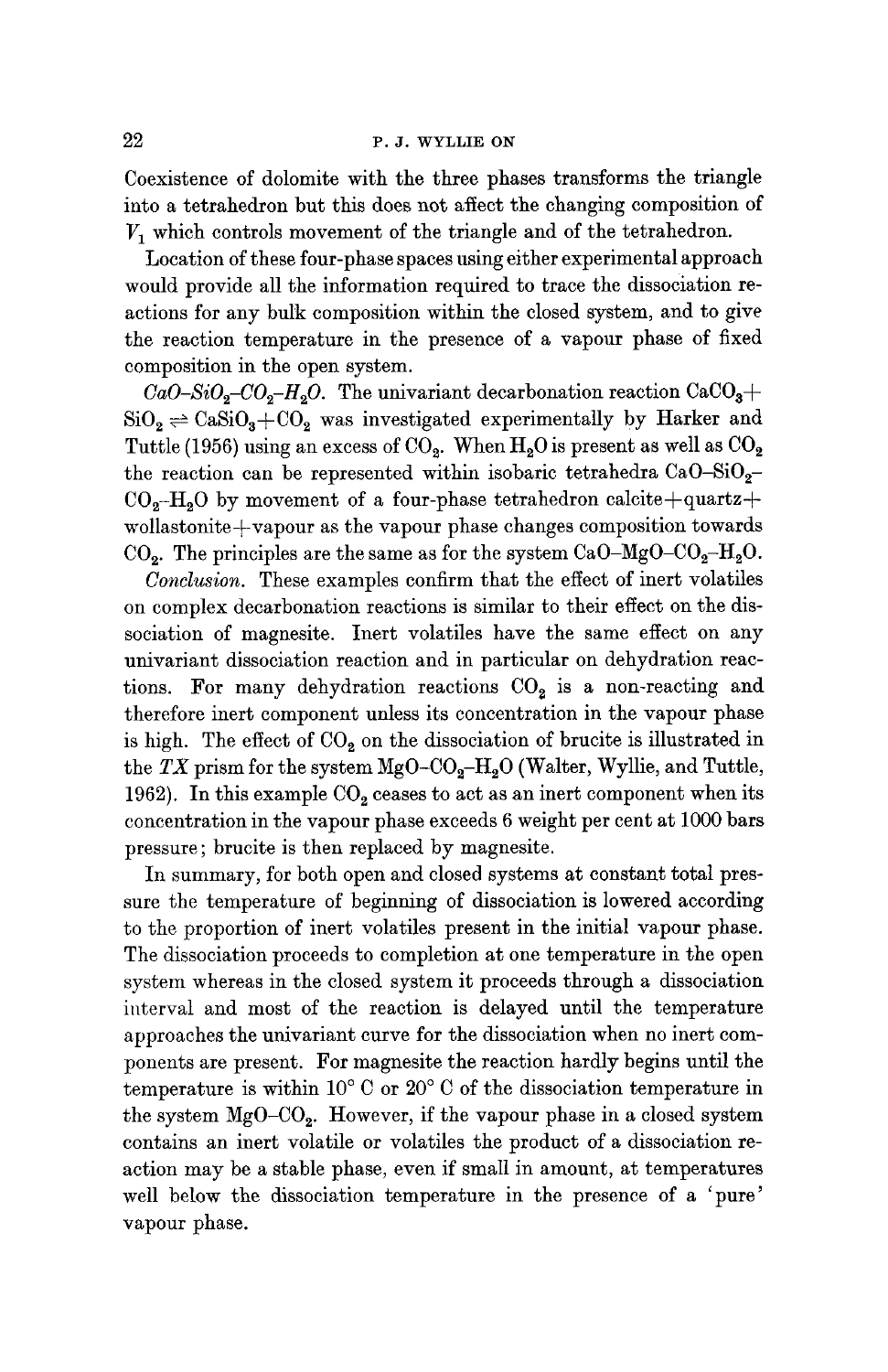### 22 P.J. WYLLIE ON

Coexistence of dolomite with the three phases transforms the triangle into a tetrahedron but this does not affect the changing composition of  $V_1$  which controls movement of the triangle and of the tetrahedron.

Location of these four-phase spaces using either experimental approach would provide all the information required to trace the dissociation reactions for any bulk composition within the closed system, and to give the reaction temperature in the presence of a vapour phase of fixed composition in the open system.

 $CaO-SiO<sub>2</sub>-CO<sub>2</sub>-H<sub>2</sub>O$ . The univariant decarbonation reaction  $CaCO<sub>3</sub>$ +  $SiO<sub>2</sub> \rightleftharpoons CaSiO<sub>3</sub>+CO<sub>2</sub>$  was investigated experimentally by Harker and Tuttle (1956) using an excess of  $CO_2$ . When  $H_2O$  is present as well as  $CO_2$ the reaction can be represented within isobaric tetrahedra  $CaO-SiO<sub>2</sub> CO<sub>2</sub>$ -H<sub>2</sub>O by movement of a four-phase tetrahedron calcite+quartz+ wollastonite $+$ vapour as the vapour phase changes composition towards  $CO<sub>2</sub>$ . The principles are the same as for the system  $CaO-MgO-CO<sub>2</sub>-H<sub>2</sub>O$ .

*Conclusion.* These examples confirm that the effect of inert volatiles on complex decarbonation reactions is similar to their effect on the dissociation of magnesite. Inert volatiles have the same effect on any univariant dissociation reaction and in particular on dehydration reactions. For many dehydration reactions  $CO<sub>2</sub>$  is a non-reacting and therefore inert component unless its concentration in the vapour phase is high. The effect of  $CO<sub>2</sub>$  on the dissociation of brucite is illustrated in the  $TX$  prism for the system  $MgO-CO<sub>2</sub>-H<sub>2</sub>O$  (Walter, Wyllie, and Tuttle, 1962). In this example  $CO<sub>2</sub>$  ceases to act as an inert component when its concentration in the vapour phase exceeds 6 weight per cent at 1000 bars pressure; brucite is then replaced by magnesite.

In summary, for both open and closed systems at constant total pressure the temperature of beginning of dissociation is lowered according to the proportion of inert volatiles present in the initial vapour phase. The dissociation proceeds to completion at one temperature in the open system whereas in the closed system it proceeds through a dissociation interval and most of the reaction is delayed until the temperature approaches the univariant curve for the dissociation when no inert components are present. For magnesite the reaction hardly begins until the temperature is within  $10^{\circ}$  C or  $20^{\circ}$  C of the dissociation temperature in the system  $MgO-CO<sub>2</sub>$ . However, if the vapour phase in a closed system contains an inert volatile or volatiles the product of a dissociation reaction may be a stable phase, even if small in amount, at temperatures well below the dissociation temperature in the presence of a 'pure' vapour phase.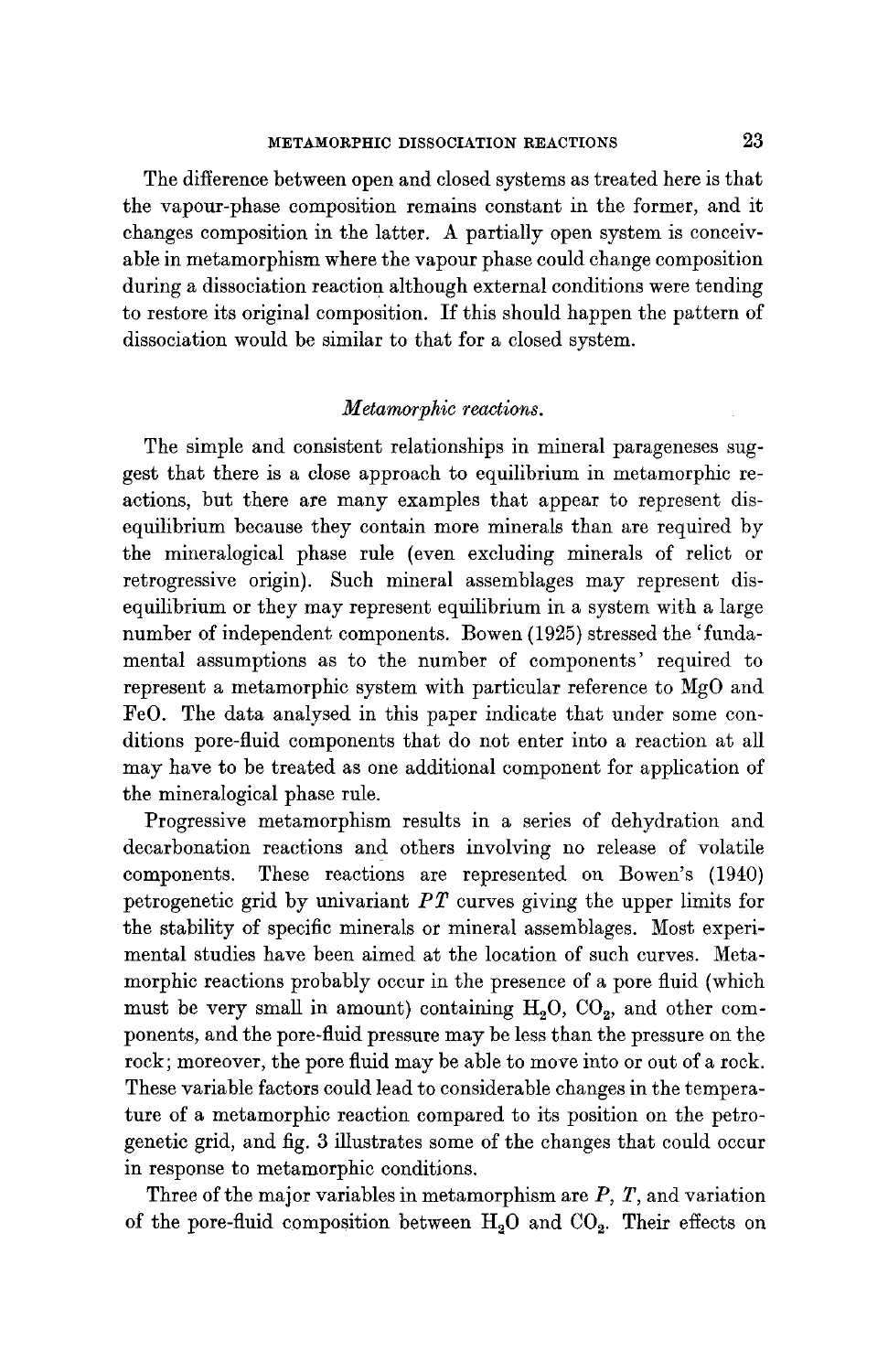The difference between open and closed systems as treated here is that the vapour-phase composition remains constant in the former, and it changes composition in the latter. A partially open system is conceivable in metamorphism where the vapour phase could change composition during a dissociation reaction although external conditions were tending to restore its original composition. If this should happen the pattern of dissociation would be similar to that for a closed system.

#### *Metamorphic reactions.*

The simple and consistent relationships in mineral parageneses suggest that there is a close approach to equilibrium in metamorphic reactions, but there are many examples that appear to represent disequilibrium because they contain more minerals than are required by the mineralogical phase rule (even excluding minerals of relict or retrogressive origin). Such mineral assemblages may represent disequilibrium or they may represent equilibrium in a system with a large number of independent components. Bowen (1925) stressed the 'fundamental assumptions as to the number of components' required to represent a metamorphic system with particular reference to MgO and FeO. The data analysed in this paper indicate that under some conditions pore-fluid components that do not enter into a reaction at all may have to be treated as one additional component for application of the mineralogical phase rule.

Progressive metamorphism results in a series of dehydration and decarbonation reactions and others involving no release of volatile components. These reactions are represented ou Bowen's (1940) petrogenetic grid by univariant *PT* curves giving the upper limits for the stability of specific minerals or mineral assemblages. Most experimental studies have been aimed at the location of such curves. Metamorphic reactions probably occur in the presence of a pore fluid (which must be very small in amount) containing  $H<sub>2</sub>O$ ,  $CO<sub>2</sub>$ , and other components, and the pore-fluid pressure may be less than the pressure on the rock; moreover, the pore fluid may be able to move into or out of a rock. These variable factors could lead to considerable changes in the temperature of a metamorphic reaction compared to its position on the petrogenetic grid, and fig. 3 illustrates some of the changes that could occur in response to metamorphic conditions.

Three of the major variables in metamorphism are  $P$ ,  $T$ , and variation of the pore-fluid composition between  $H_2O$  and  $CO_2$ . Their effects on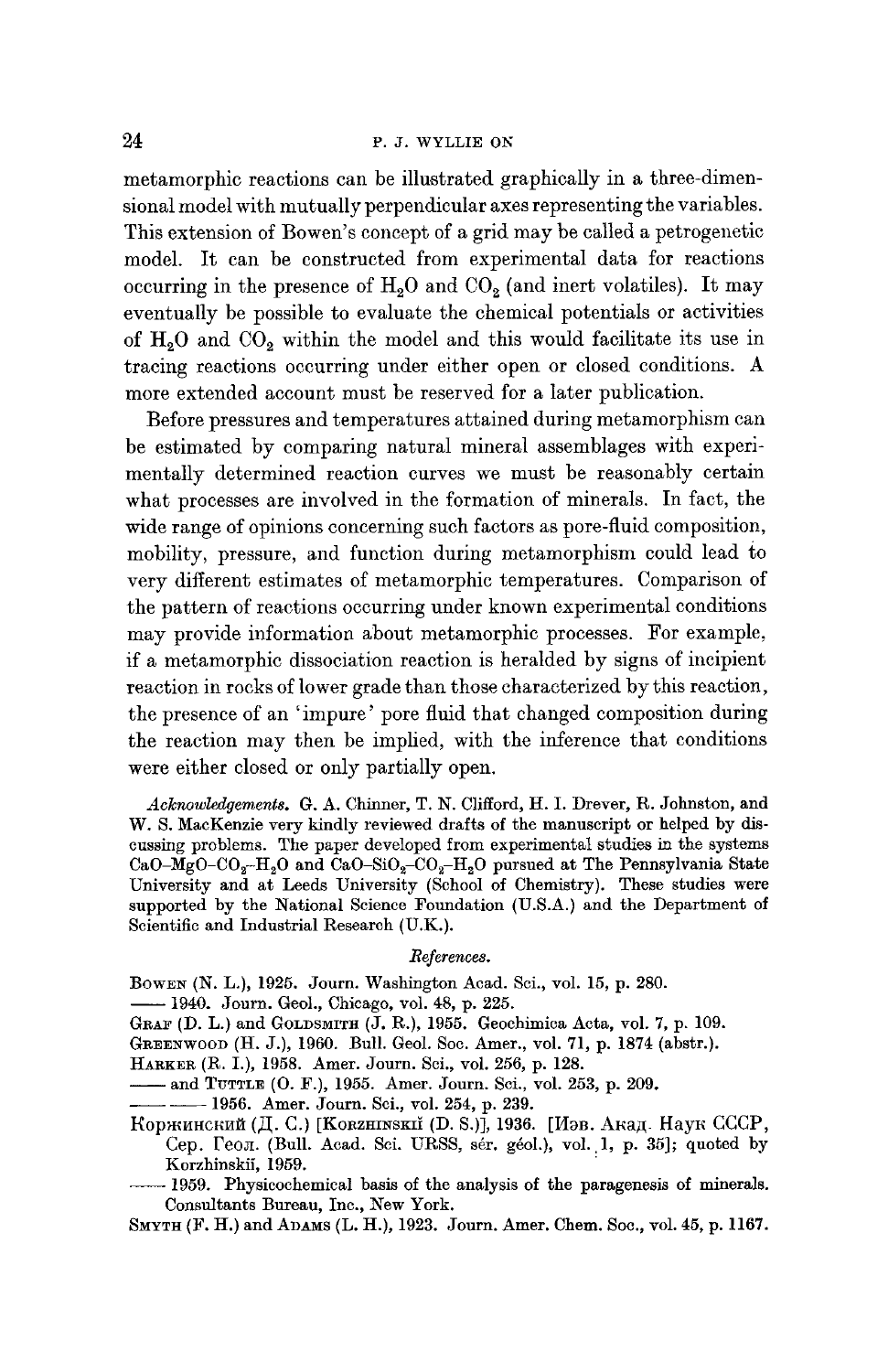# 24 P.J. WYLLIE ON

metamorphic reactions can be illustrated graphically in a three-dimensional model with mutually perpendicular axes representing the variables. This extension of Bowen's concept of a grid may be called a petrogenetie model. It can be constructed from experimental data for reactions occurring in the presence of  $H<sub>2</sub>O$  and  $CO<sub>2</sub>$  (and inert volatiles). It may eventually be possible to evaluate the chemical potentials or activities of  $H_2O$  and  $CO_2$  within the model and this would facilitate its use in tracing reactions occurring under either open or closed conditions. A more extended account must be reserved for a later publication.

Before pressures and temperatures attained during metamorphism can be estimated by comparing natural mineral assemblages with experimentally determined reaction curves we must be reasonably certain what processes are involved in the formation of minerals. In fact, the wide range of opinions concerning such factors as pore-fluid composition, mobility, pressure, and function during metamorphism could lead to very different estimates of metamorphic temperatures. Comparison of the pattern of reactions occurring under known experimental conditions may provide information about metamorphic processes. For example, if a metamorphic dissociation reaction is heralded by signs of incipient reaction in rocks of lower grade than those characterized by this reaction, the presence of an 'impure' pore fluid that changed composition during the reaction may then be implied, with the inference that conditions were either closed or only partially open.

Acknowledgements. G. A. Chinner, T. N. Clifford, H. I. Drever, R. Johnston, and W. S. MacKenzie very kindly reviewed drafts of the manuscript or helped by discussing problems. The paper developed from experimental studies in the systems CaO-MgO-CO<sub>2</sub>-H<sub>2</sub>O and CaO-SiO<sub>2</sub>-CO<sub>2</sub>-H<sub>2</sub>O pursued at The Pennsylvania State University and at Leeds University (School of Chemistry). These studies were supported by the National Science Foundation (U.S.A.) and the Department of Scientific and Industrial Research (U.K.).

#### *References.*

BowEN (N. L.), 1925. Journ. Washington Acad. Sci., vol. 15, p. 280.

**--** 1940. Journ. Geol., Chicago, vol. 48, p. 225.

GRAF (D. L.) and GOLDSMITH (J. R.), 1955. Geochimica Acta, vol. 7, p. 109.

GREENWOOD (H. J.), 1960. Bull. Geol. See. Amer., vol. 71, p. 1874 (abstr.).

HARKER (R. I.), 1958. Amer. Journ. Sci., vol. 256, p. 128.

**--- and TUTTLE (O. F.), 1955.** Amer. Journ. Sci., vol. 253, p. 209.

**--** -- 1956. Amer. Journ. Sci., vol. 254, p. 239.

 $K$ оржинский (Д. С.) [Korzhinskiǐ (D. S.)], 1936. [Иэв. Акад. Наук СССР, Сер. Геол. (Bull. Acad. Sci. URSS, sér. géol.), vol. 1, p. 35]; quoted by Korzhinskii, 1959.

-1959. Physicochemical basis of the analysis of the paragenesis of minerals. Consultants Bureau, Inc., New York.

SMYTH (F. H.) and ADAMS (L. H.), 1923. Journ. Amer. Chem. Soc., vol. 45, p. 1167.